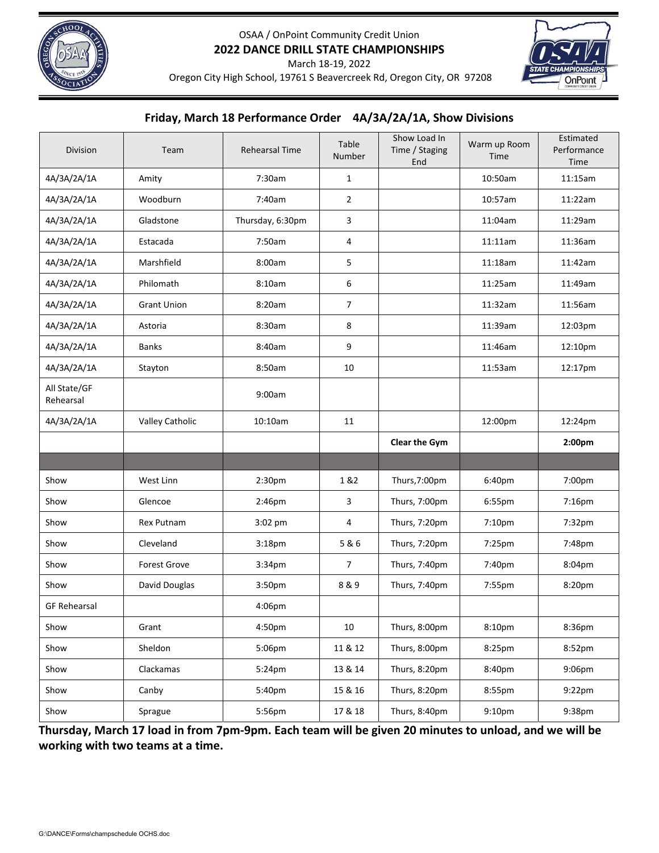



March 18‐19, 2022

Oregon City High School, 19761 S Beavercreek Rd, Oregon City, OR 97208

## **Friday, March 18 Performance Order 4A/3A/2A/1A, Show Divisions**

| Division                  | Team                | <b>Rehearsal Time</b> | Table<br>Number | Show Load In<br>Time / Staging<br>End | Warm up Room<br>Time | Estimated<br>Performance<br>Time |
|---------------------------|---------------------|-----------------------|-----------------|---------------------------------------|----------------------|----------------------------------|
| 4A/3A/2A/1A               | Amity               | 7:30am                | $\mathbf{1}$    |                                       | 10:50am              | 11:15am                          |
| 4A/3A/2A/1A               | Woodburn            | 7:40am                | $\overline{2}$  |                                       | 10:57am              | 11:22am                          |
| 4A/3A/2A/1A               | Gladstone           | Thursday, 6:30pm      | 3               |                                       | 11:04am              | 11:29am                          |
| 4A/3A/2A/1A               | Estacada            | 7:50am                | 4               |                                       | 11:11am              | 11:36am                          |
| 4A/3A/2A/1A               | Marshfield          | 8:00am                | 5               |                                       | 11:18am              | 11:42am                          |
| 4A/3A/2A/1A               | Philomath           | 8:10am                | 6               |                                       | 11:25am              | 11:49am                          |
| 4A/3A/2A/1A               | <b>Grant Union</b>  | 8:20am                | $\overline{7}$  |                                       | 11:32am              | 11:56am                          |
| 4A/3A/2A/1A               | Astoria             | 8:30am                | 8               |                                       | 11:39am              | 12:03pm                          |
| 4A/3A/2A/1A               | Banks               | 8:40am                | 9               |                                       | 11:46am              | 12:10pm                          |
| 4A/3A/2A/1A               | Stayton             | 8:50am                | 10              |                                       | 11:53am              | 12:17pm                          |
| All State/GF<br>Rehearsal |                     | 9:00am                |                 |                                       |                      |                                  |
| 4A/3A/2A/1A               | Valley Catholic     | 10:10am               | 11              |                                       | 12:00pm              | 12:24pm                          |
|                           |                     |                       |                 | Clear the Gym                         |                      | 2:00 <sub>pm</sub>               |
|                           |                     |                       |                 |                                       |                      |                                  |
| Show                      | West Linn           | 2:30pm                | 1 & 2           | Thurs, 7:00pm                         | 6:40pm               | 7:00pm                           |
| Show                      | Glencoe             | 2:46pm                | 3               | Thurs, 7:00pm                         | 6:55pm               | 7:16pm                           |
| Show                      | <b>Rex Putnam</b>   | $3:02$ pm             | 4               | Thurs, 7:20pm                         | 7:10 <sub>pm</sub>   | 7:32pm                           |
| Show                      | Cleveland           | 3:18 <sub>pm</sub>    | 5 & 6           | Thurs, 7:20pm                         | 7:25pm               | 7:48pm                           |
| Show                      | <b>Forest Grove</b> | 3:34pm                | $\overline{7}$  | Thurs, 7:40pm                         | 7:40pm               | 8:04pm                           |
| Show                      | David Douglas       | 3:50pm                | 8&9             | Thurs, 7:40pm                         | 7:55pm               | 8:20pm                           |
| <b>GF Rehearsal</b>       |                     | 4:06pm                |                 |                                       |                      |                                  |
| Show                      | Grant               | 4:50pm                | $10\,$          | Thurs, 8:00pm                         | 8:10pm               | 8:36pm                           |
| Show                      | Sheldon             | 5:06pm                | 11 & 12         | Thurs, 8:00pm                         | 8:25pm               | 8:52pm                           |
| Show                      | Clackamas           | 5:24pm                | 13 & 14         | Thurs, 8:20pm                         | 8:40pm               | 9:06pm                           |
| Show                      | Canby               | 5:40pm                | 15 & 16         | Thurs, 8:20pm                         | 8:55pm               | 9:22pm                           |
| Show                      | Sprague             | 5:56pm                | 17 & 18         | Thurs, 8:40pm                         | 9:10pm               | 9:38pm                           |

Thursday, March 17 load in from 7pm-9pm. Each team will be given 20 minutes to unload, and we will be **working with two teams at a time.**